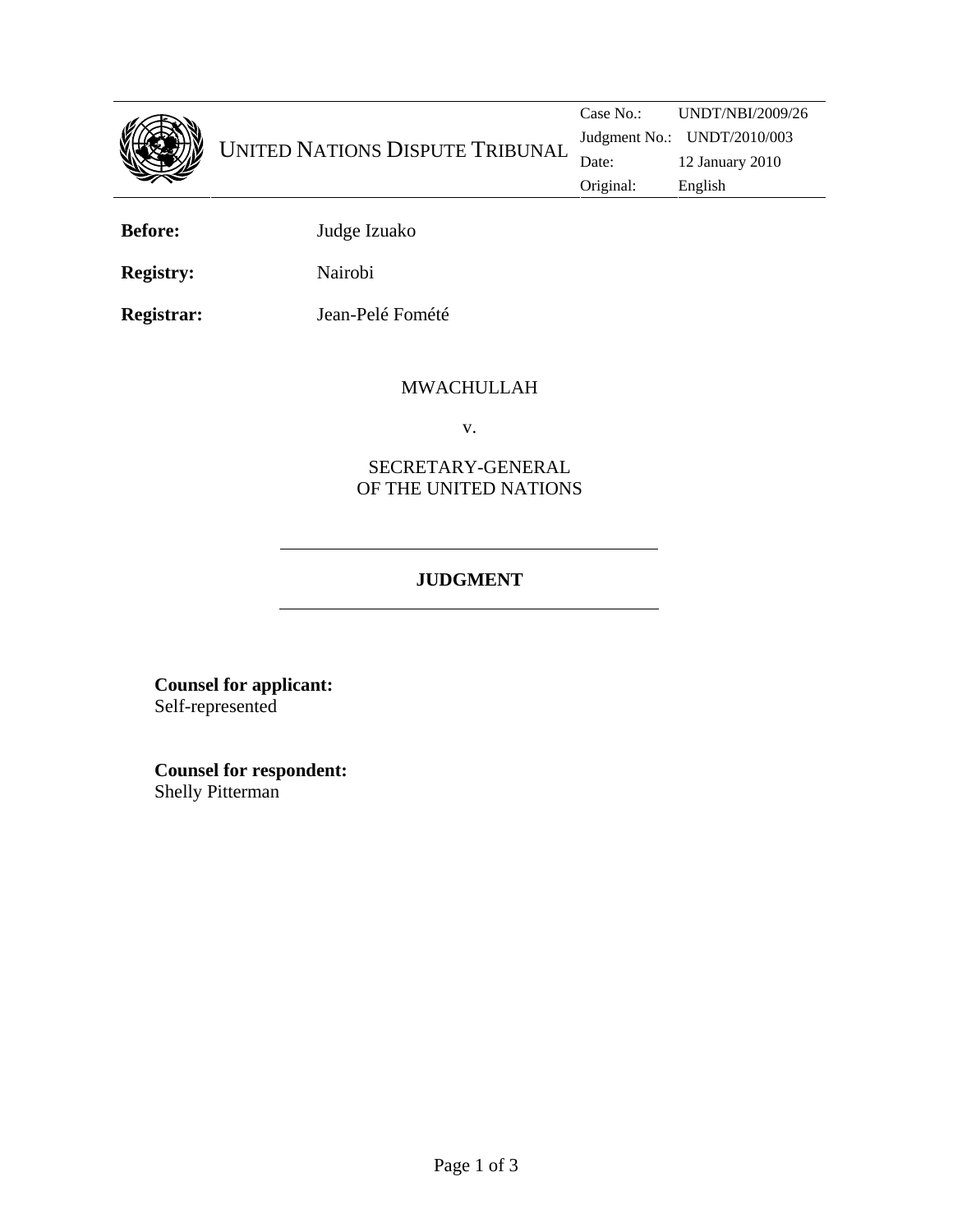

**Before:** Judge Izuako

**Registry:** Nairobi

**Registrar:** Jean-Pelé Fomété

## MWACHULLAH

v.

## SECRETARY-GENERAL OF THE UNITED NATIONS

## **JUDGMENT**

**Counsel for applicant:**  Self-represented

**Counsel for respondent:** Shelly Pitterman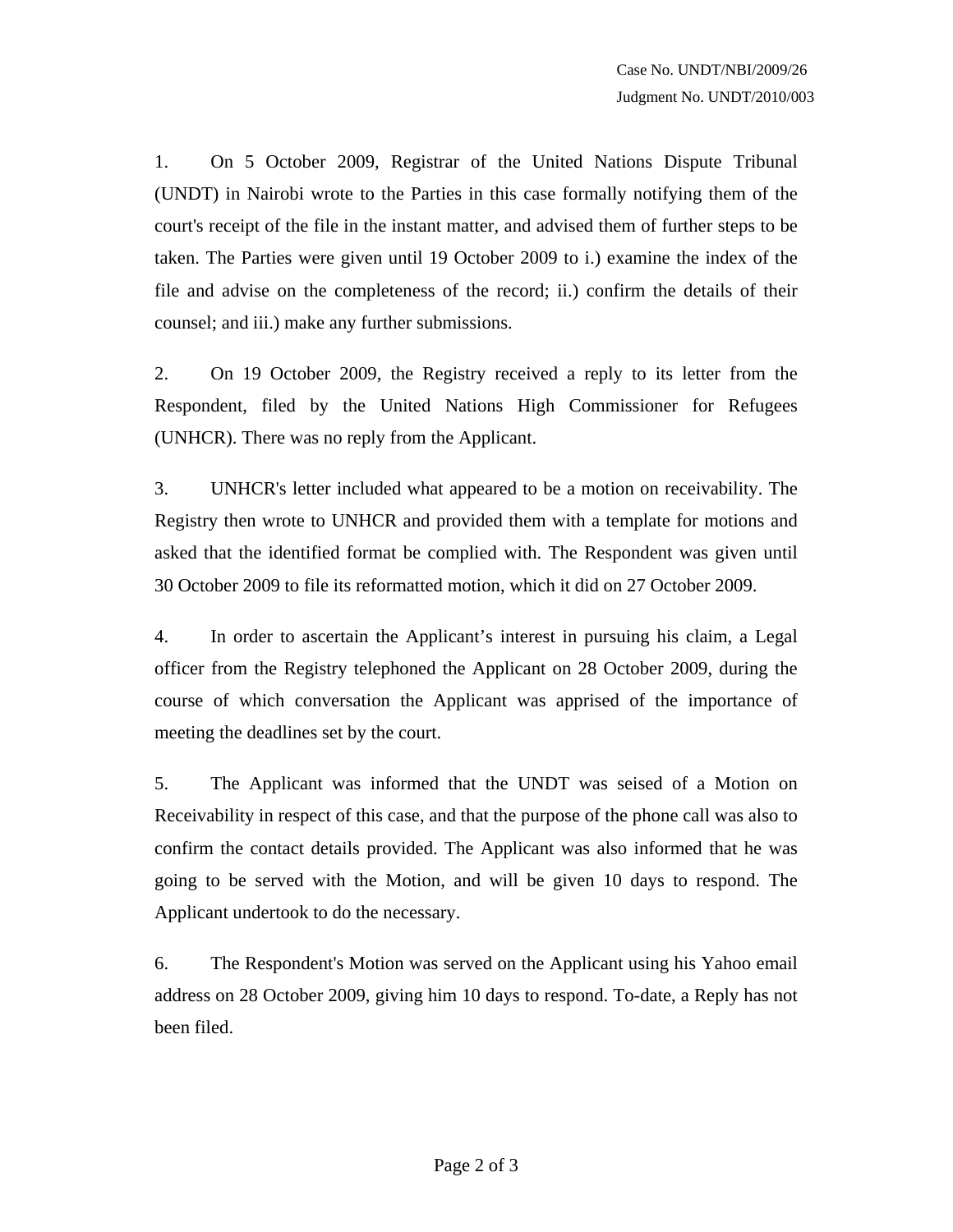1. On 5 October 2009, Registrar of the United Nations Dispute Tribunal (UNDT) in Nairobi wrote to the Parties in this case formally notifying them of the court's receipt of the file in the instant matter, and advised them of further steps to be taken. The Parties were given until 19 October 2009 to i.) examine the index of the file and advise on the completeness of the record; ii.) confirm the details of their counsel; and iii.) make any further submissions.

2. On 19 October 2009, the Registry received a reply to its letter from the Respondent, filed by the United Nations High Commissioner for Refugees (UNHCR). There was no reply from the Applicant.

3. UNHCR's letter included what appeared to be a motion on receivability. The Registry then wrote to UNHCR and provided them with a template for motions and asked that the identified format be complied with. The Respondent was given until 30 October 2009 to file its reformatted motion, which it did on 27 October 2009.

4. In order to ascertain the Applicant's interest in pursuing his claim, a Legal officer from the Registry telephoned the Applicant on 28 October 2009, during the course of which conversation the Applicant was apprised of the importance of meeting the deadlines set by the court.

5. The Applicant was informed that the UNDT was seised of a Motion on Receivability in respect of this case, and that the purpose of the phone call was also to confirm the contact details provided. The Applicant was also informed that he was going to be served with the Motion, and will be given 10 days to respond. The Applicant undertook to do the necessary.

6. The Respondent's Motion was served on the Applicant using his Yahoo email address on 28 October 2009, giving him 10 days to respond. To-date, a Reply has not been filed.